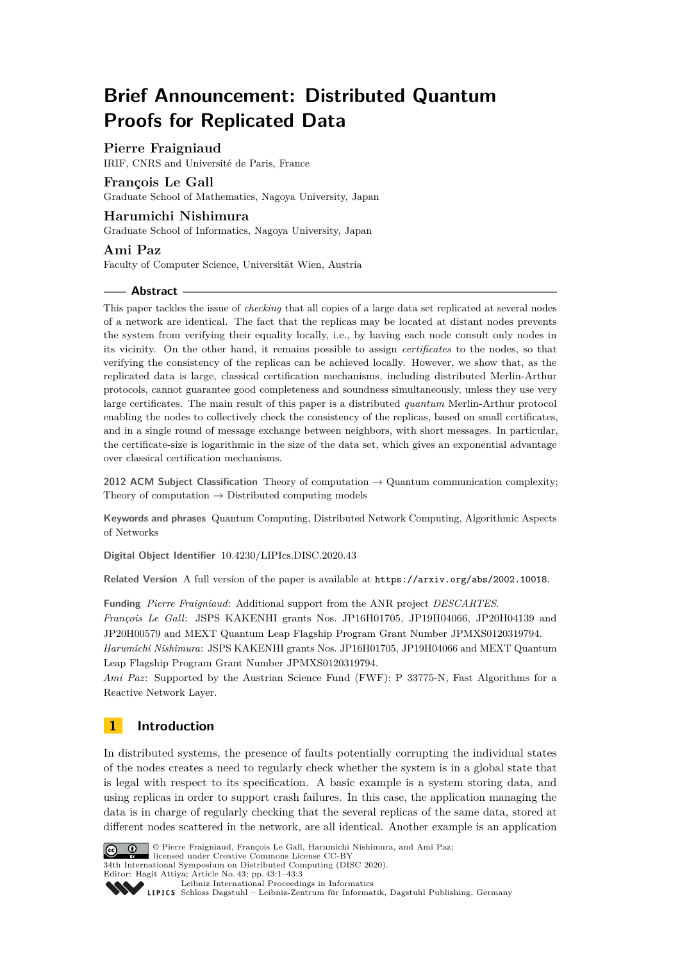# **Brief Announcement: Distributed Quantum Proofs for Replicated Data**

# **Pierre Fraigniaud**

IRIF, CNRS and Université de Paris, France

# **François Le Gall**

Graduate School of Mathematics, Nagoya University, Japan

## **Harumichi Nishimura**

Graduate School of Informatics, Nagoya University, Japan

### **Ami Paz**

Faculty of Computer Science, Universität Wien, Austria

### **Abstract**

This paper tackles the issue of *checking* that all copies of a large data set replicated at several nodes of a network are identical. The fact that the replicas may be located at distant nodes prevents the system from verifying their equality locally, i.e., by having each node consult only nodes in its vicinity. On the other hand, it remains possible to assign *certificates* to the nodes, so that verifying the consistency of the replicas can be achieved locally. However, we show that, as the replicated data is large, classical certification mechanisms, including distributed Merlin-Arthur protocols, cannot guarantee good completeness and soundness simultaneously, unless they use very large certificates. The main result of this paper is a distributed *quantum* Merlin-Arthur protocol enabling the nodes to collectively check the consistency of the replicas, based on small certificates, and in a single round of message exchange between neighbors, with short messages. In particular, the certificate-size is logarithmic in the size of the data set, which gives an exponential advantage over classical certification mechanisms.

**2012 ACM Subject Classification** Theory of computation → Quantum communication complexity; Theory of computation  $\rightarrow$  Distributed computing models

**Keywords and phrases** Quantum Computing, Distributed Network Computing, Algorithmic Aspects of Networks

**Digital Object Identifier** [10.4230/LIPIcs.DISC.2020.43](https://doi.org/10.4230/LIPIcs.DISC.2020.43)

**Related Version** A full version of the paper is available at <https://arxiv.org/abs/2002.10018>.

**Funding** *Pierre Fraigniaud*: Additional support from the ANR project *DESCARTES*. *François Le Gall*: JSPS KAKENHI grants Nos. JP16H01705, JP19H04066, JP20H04139 and JP20H00579 and MEXT Quantum Leap Flagship Program Grant Number JPMXS0120319794. *Harumichi Nishimura*: JSPS KAKENHI grants Nos. JP16H01705, JP19H04066 and MEXT Quantum Leap Flagship Program Grant Number JPMXS0120319794.

*Ami Paz*: Supported by the Austrian Science Fund (FWF): P 33775-N, Fast Algorithms for a Reactive Network Layer.

# **1 Introduction**

In distributed systems, the presence of faults potentially corrupting the individual states of the nodes creates a need to regularly check whether the system is in a global state that is legal with respect to its specification. A basic example is a system storing data, and using replicas in order to support crash failures. In this case, the application managing the data is in charge of regularly checking that the several replicas of the same data, stored at different nodes scattered in the network, are all identical. Another example is an application



© Pierre Fraigniaud, François Le Gall, Harumichi Nishimura, and Ami Paz; licensed under Creative Commons License CC-BY

34th International Symposium on Distributed Computing (DISC 2020).

Editor: Hagit Attiya; Article No. 43; pp. 43:1–43[:3](#page-2-0)

[Leibniz International Proceedings in Informatics](https://www.dagstuhl.de/lipics/)

[Schloss Dagstuhl – Leibniz-Zentrum für Informatik, Dagstuhl Publishing, Germany](https://www.dagstuhl.de)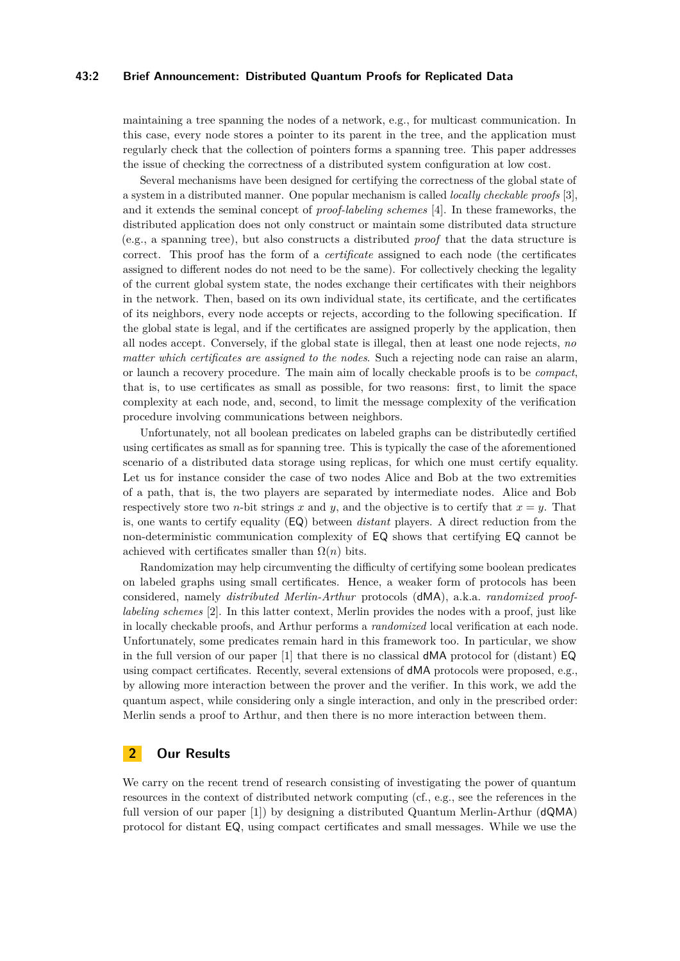### **43:2 Brief Announcement: Distributed Quantum Proofs for Replicated Data**

maintaining a tree spanning the nodes of a network, e.g., for multicast communication. In this case, every node stores a pointer to its parent in the tree, and the application must regularly check that the collection of pointers forms a spanning tree. This paper addresses the issue of checking the correctness of a distributed system configuration at low cost.

Several mechanisms have been designed for certifying the correctness of the global state of a system in a distributed manner. One popular mechanism is called *locally checkable proofs* [\[3\]](#page-2-1), and it extends the seminal concept of *proof-labeling schemes* [\[4\]](#page-2-2). In these frameworks, the distributed application does not only construct or maintain some distributed data structure (e.g., a spanning tree), but also constructs a distributed *proof* that the data structure is correct. This proof has the form of a *certificate* assigned to each node (the certificates assigned to different nodes do not need to be the same). For collectively checking the legality of the current global system state, the nodes exchange their certificates with their neighbors in the network. Then, based on its own individual state, its certificate, and the certificates of its neighbors, every node accepts or rejects, according to the following specification. If the global state is legal, and if the certificates are assigned properly by the application, then all nodes accept. Conversely, if the global state is illegal, then at least one node rejects, *no matter which certificates are assigned to the nodes*. Such a rejecting node can raise an alarm, or launch a recovery procedure. The main aim of locally checkable proofs is to be *compact*, that is, to use certificates as small as possible, for two reasons: first, to limit the space complexity at each node, and, second, to limit the message complexity of the verification procedure involving communications between neighbors.

Unfortunately, not all boolean predicates on labeled graphs can be distributedly certified using certificates as small as for spanning tree. This is typically the case of the aforementioned scenario of a distributed data storage using replicas, for which one must certify equality. Let us for instance consider the case of two nodes Alice and Bob at the two extremities of a path, that is, the two players are separated by intermediate nodes. Alice and Bob respectively store two *n*-bit strings *x* and *y*, and the objective is to certify that  $x = y$ . That is, one wants to certify equality (EQ) between *distant* players. A direct reduction from the non-deterministic communication complexity of EQ shows that certifying EQ cannot be achieved with certificates smaller than  $\Omega(n)$  bits.

Randomization may help circumventing the difficulty of certifying some boolean predicates on labeled graphs using small certificates. Hence, a weaker form of protocols has been considered, namely *distributed Merlin-Arthur* protocols (dMA), a.k.a. *randomized prooflabeling schemes* [\[2\]](#page-2-3). In this latter context, Merlin provides the nodes with a proof, just like in locally checkable proofs, and Arthur performs a *randomized* local verification at each node. Unfortunately, some predicates remain hard in this framework too. In particular, we show in the full version of our paper  $[1]$  that there is no classical dMA protocol for (distant) EQ using compact certificates. Recently, several extensions of dMA protocols were proposed, e.g., by allowing more interaction between the prover and the verifier. In this work, we add the quantum aspect, while considering only a single interaction, and only in the prescribed order: Merlin sends a proof to Arthur, and then there is no more interaction between them.

# **2 Our Results**

We carry on the recent trend of research consisting of investigating the power of quantum resources in the context of distributed network computing (cf., e.g., see the references in the full version of our paper [\[1\]](#page-2-4)) by designing a distributed Quantum Merlin-Arthur (dQMA) protocol for distant EQ, using compact certificates and small messages. While we use the